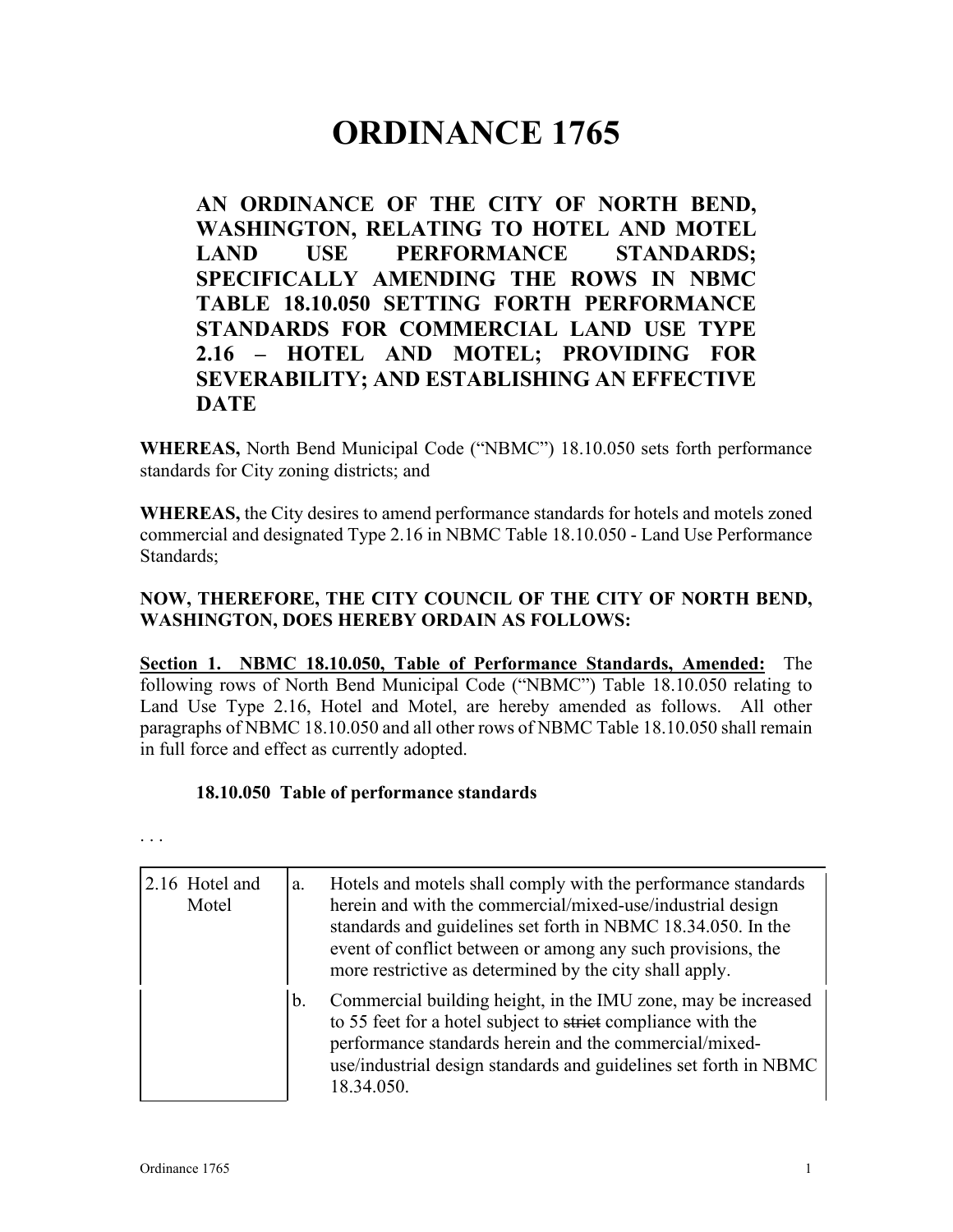# **ORDINANCE 1765**

**AN ORDINANCE OF THE CITY OF NORTH BEND, WASHINGTON, RELATING TO HOTEL AND MOTEL LAND USE PERFORMANCE STANDARDS; SPECIFICALLY AMENDING THE ROWS IN NBMC TABLE 18.10.050 SETTING FORTH PERFORMANCE STANDARDS FOR COMMERCIAL LAND USE TYPE 2.16 – HOTEL AND MOTEL; PROVIDING FOR SEVERABILITY; AND ESTABLISHING AN EFFECTIVE DATE**

**WHEREAS,** North Bend Municipal Code ("NBMC") 18.10.050 sets forth performance standards for City zoning districts; and

**WHEREAS,** the City desires to amend performance standards for hotels and motels zoned commercial and designated Type 2.16 in NBMC Table 18.10.050 - Land Use Performance Standards;

## **NOW, THEREFORE, THE CITY COUNCIL OF THE CITY OF NORTH BEND, WASHINGTON, DOES HEREBY ORDAIN AS FOLLOWS:**

**Section 1. NBMC 18.10.050, Table of Performance Standards, Amended:** The following rows of North Bend Municipal Code ("NBMC") Table 18.10.050 relating to Land Use Type 2.16, Hotel and Motel, are hereby amended as follows. All other paragraphs of NBMC 18.10.050 and all other rows of NBMC Table 18.10.050 shall remain in full force and effect as currently adopted.

## **18.10.050 Table of performance standards**

. . .

| 2.16 Hotel and<br>Motel | a. | Hotels and motels shall comply with the performance standards<br>herein and with the commercial/mixed-use/industrial design<br>standards and guidelines set forth in NBMC 18.34.050. In the<br>event of conflict between or among any such provisions, the<br>more restrictive as determined by the city shall apply. |
|-------------------------|----|-----------------------------------------------------------------------------------------------------------------------------------------------------------------------------------------------------------------------------------------------------------------------------------------------------------------------|
|                         | b. | Commercial building height, in the IMU zone, may be increased<br>to 55 feet for a hotel subject to strict compliance with the<br>performance standards herein and the commercial/mixed-<br>use/industrial design standards and guidelines set forth in NBMC<br>18.34.050.                                             |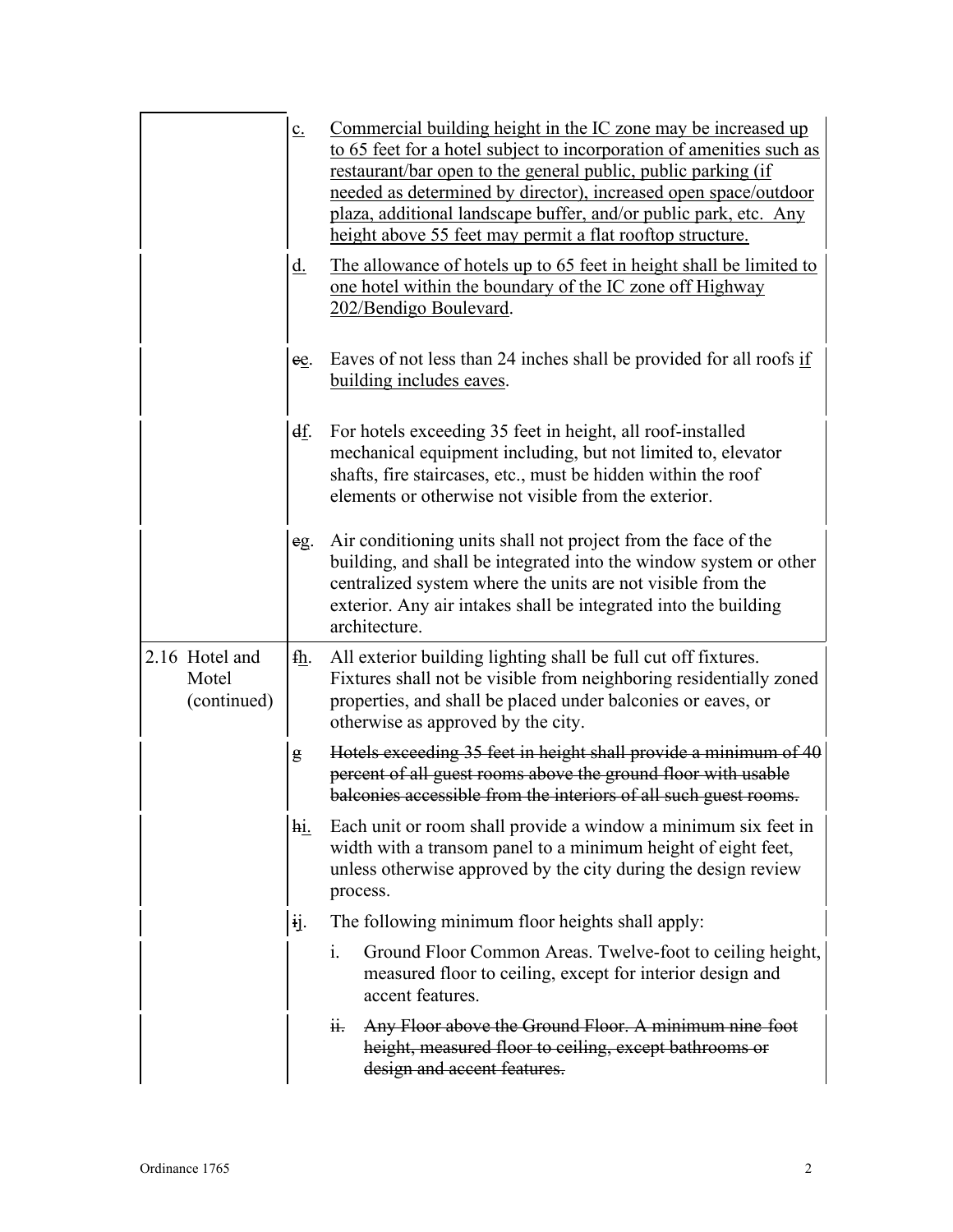|                                        | $c_{\cdot}$   | Commercial building height in the IC zone may be increased up<br>to 65 feet for a hotel subject to incorporation of amenities such as<br>restaurant/bar open to the general public, public parking (if<br>needed as determined by director), increased open space/outdoor<br>plaza, additional landscape buffer, and/or public park, etc. Any<br>height above 55 feet may permit a flat rooftop structure. |
|----------------------------------------|---------------|------------------------------------------------------------------------------------------------------------------------------------------------------------------------------------------------------------------------------------------------------------------------------------------------------------------------------------------------------------------------------------------------------------|
|                                        | <u>d.</u>     | The allowance of hotels up to 65 feet in height shall be limited to<br>one hotel within the boundary of the IC zone off Highway<br>202/Bendigo Boulevard.                                                                                                                                                                                                                                                  |
|                                        | ee.           | Eaves of not less than 24 inches shall be provided for all roofs if<br>building includes eaves.                                                                                                                                                                                                                                                                                                            |
|                                        | <u>df</u> .   | For hotels exceeding 35 feet in height, all roof-installed<br>mechanical equipment including, but not limited to, elevator<br>shafts, fire staircases, etc., must be hidden within the roof<br>elements or otherwise not visible from the exterior.                                                                                                                                                        |
|                                        | eg.           | Air conditioning units shall not project from the face of the<br>building, and shall be integrated into the window system or other<br>centralized system where the units are not visible from the<br>exterior. Any air intakes shall be integrated into the building<br>architecture.                                                                                                                      |
| 2.16 Hotel and<br>Motel<br>(continued) | fh.           | All exterior building lighting shall be full cut off fixtures.<br>Fixtures shall not be visible from neighboring residentially zoned<br>properties, and shall be placed under balconies or eaves, or<br>otherwise as approved by the city.                                                                                                                                                                 |
|                                        | g             | Hotels exceeding 35 feet in height shall provide a minimum of 40<br>percent of all guest rooms above the ground floor with usable<br>balconies accessible from the interiors of all such guest rooms.                                                                                                                                                                                                      |
|                                        | $h$ <u>i.</u> | Each unit or room shall provide a window a minimum six feet in<br>width with a transom panel to a minimum height of eight feet,<br>unless otherwise approved by the city during the design review<br>process.                                                                                                                                                                                              |
|                                        | ij.           | The following minimum floor heights shall apply:                                                                                                                                                                                                                                                                                                                                                           |
|                                        |               | i.<br>Ground Floor Common Areas. Twelve-foot to ceiling height,<br>measured floor to ceiling, except for interior design and<br>accent features.                                                                                                                                                                                                                                                           |
|                                        |               | Any Floor above the Ground Floor. A minimum nine foot<br>ii.<br>height, measured floor to ceiling, except bathrooms or<br>design and accent features.                                                                                                                                                                                                                                                      |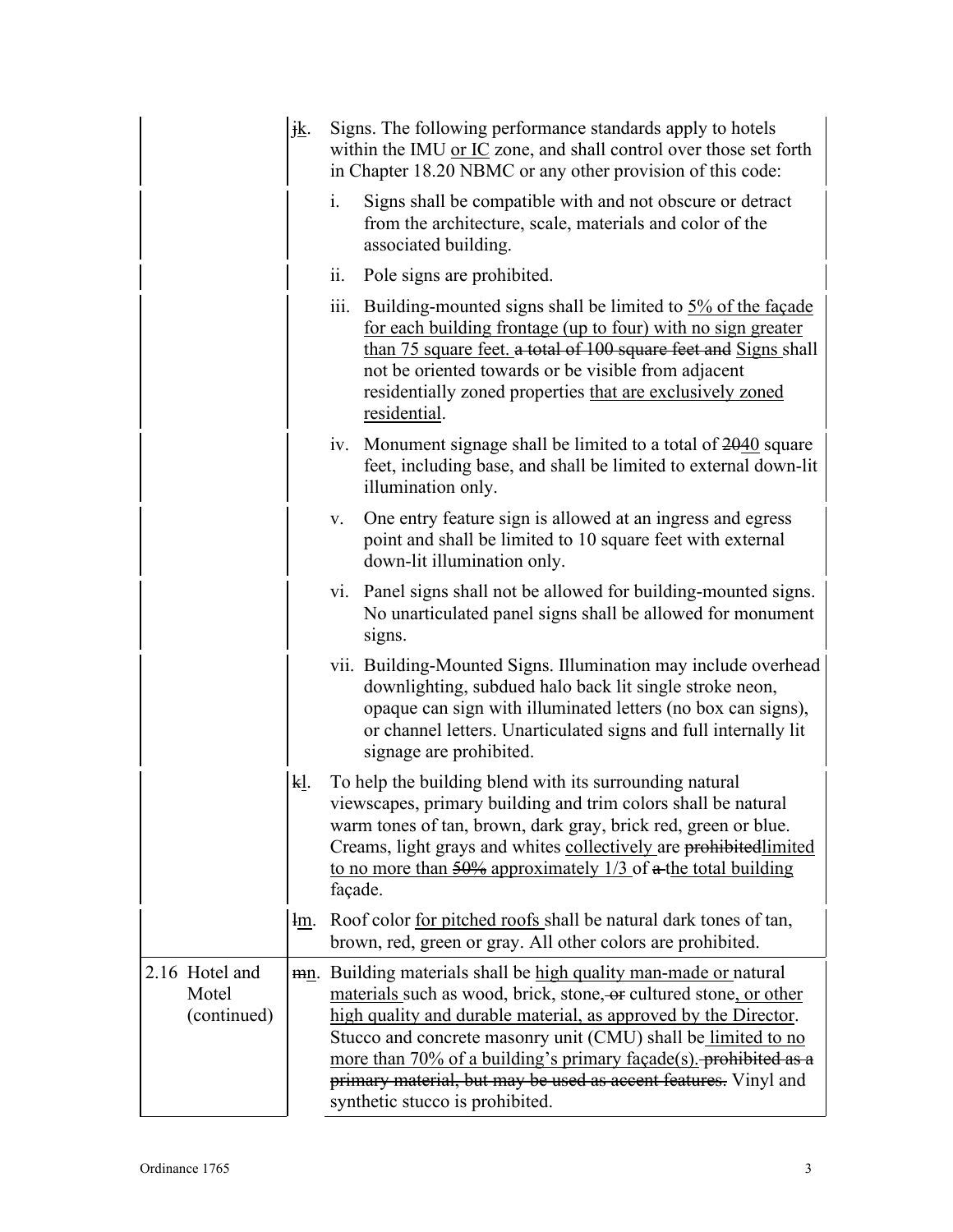|                                        | jk.                                                                                                                                                                                                                                                                                                                                     | Signs. The following performance standards apply to hotels<br>within the IMU or IC zone, and shall control over those set forth<br>in Chapter 18.20 NBMC or any other provision of this code:                                                                                                                                                                                                                                                       |  |
|----------------------------------------|-----------------------------------------------------------------------------------------------------------------------------------------------------------------------------------------------------------------------------------------------------------------------------------------------------------------------------------------|-----------------------------------------------------------------------------------------------------------------------------------------------------------------------------------------------------------------------------------------------------------------------------------------------------------------------------------------------------------------------------------------------------------------------------------------------------|--|
|                                        |                                                                                                                                                                                                                                                                                                                                         | i.<br>Signs shall be compatible with and not obscure or detract<br>from the architecture, scale, materials and color of the<br>associated building.                                                                                                                                                                                                                                                                                                 |  |
|                                        |                                                                                                                                                                                                                                                                                                                                         | ii. Pole signs are prohibited.                                                                                                                                                                                                                                                                                                                                                                                                                      |  |
|                                        | iii. Building-mounted signs shall be limited to 5% of the façade<br>for each building frontage (up to four) with no sign greater<br>than 75 square feet, a total of 100 square feet and Signs shall<br>not be oriented towards or be visible from adjacent<br>residentially zoned properties that are exclusively zoned<br>residential. |                                                                                                                                                                                                                                                                                                                                                                                                                                                     |  |
|                                        |                                                                                                                                                                                                                                                                                                                                         | iv. Monument signage shall be limited to a total of 2040 square<br>feet, including base, and shall be limited to external down-lit<br>illumination only.                                                                                                                                                                                                                                                                                            |  |
|                                        |                                                                                                                                                                                                                                                                                                                                         | One entry feature sign is allowed at an ingress and egress<br>V.<br>point and shall be limited to 10 square feet with external<br>down-lit illumination only.                                                                                                                                                                                                                                                                                       |  |
|                                        |                                                                                                                                                                                                                                                                                                                                         | vi. Panel signs shall not be allowed for building-mounted signs.<br>No unarticulated panel signs shall be allowed for monument<br>signs.                                                                                                                                                                                                                                                                                                            |  |
|                                        |                                                                                                                                                                                                                                                                                                                                         | vii. Building-Mounted Signs. Illumination may include overhead<br>downlighting, subdued halo back lit single stroke neon,<br>opaque can sign with illuminated letters (no box can signs),<br>or channel letters. Unarticulated signs and full internally lit<br>signage are prohibited.                                                                                                                                                             |  |
|                                        | kl.                                                                                                                                                                                                                                                                                                                                     | To help the building blend with its surrounding natural<br>viewscapes, primary building and trim colors shall be natural<br>warm tones of tan, brown, dark gray, brick red, green or blue.<br>Creams, light grays and whites collectively are prohibitedlimited<br>to no more than $\frac{50\%}{2}$ approximately $\frac{1}{3}$ of $\alpha$ -the total building<br>façade.                                                                          |  |
|                                        | <u>lm</u> .                                                                                                                                                                                                                                                                                                                             | Roof color for pitched roofs shall be natural dark tones of tan,<br>brown, red, green or gray. All other colors are prohibited.                                                                                                                                                                                                                                                                                                                     |  |
| 2.16 Hotel and<br>Motel<br>(continued) |                                                                                                                                                                                                                                                                                                                                         | mn. Building materials shall be high quality man-made or natural<br>materials such as wood, brick, stone, or cultured stone, or other<br>high quality and durable material, as approved by the Director.<br>Stucco and concrete masonry unit (CMU) shall be limited to no<br>more than 70% of a building's primary façade(s). prohibited as a<br>primary material, but may be used as accent features. Vinyl and<br>synthetic stucco is prohibited. |  |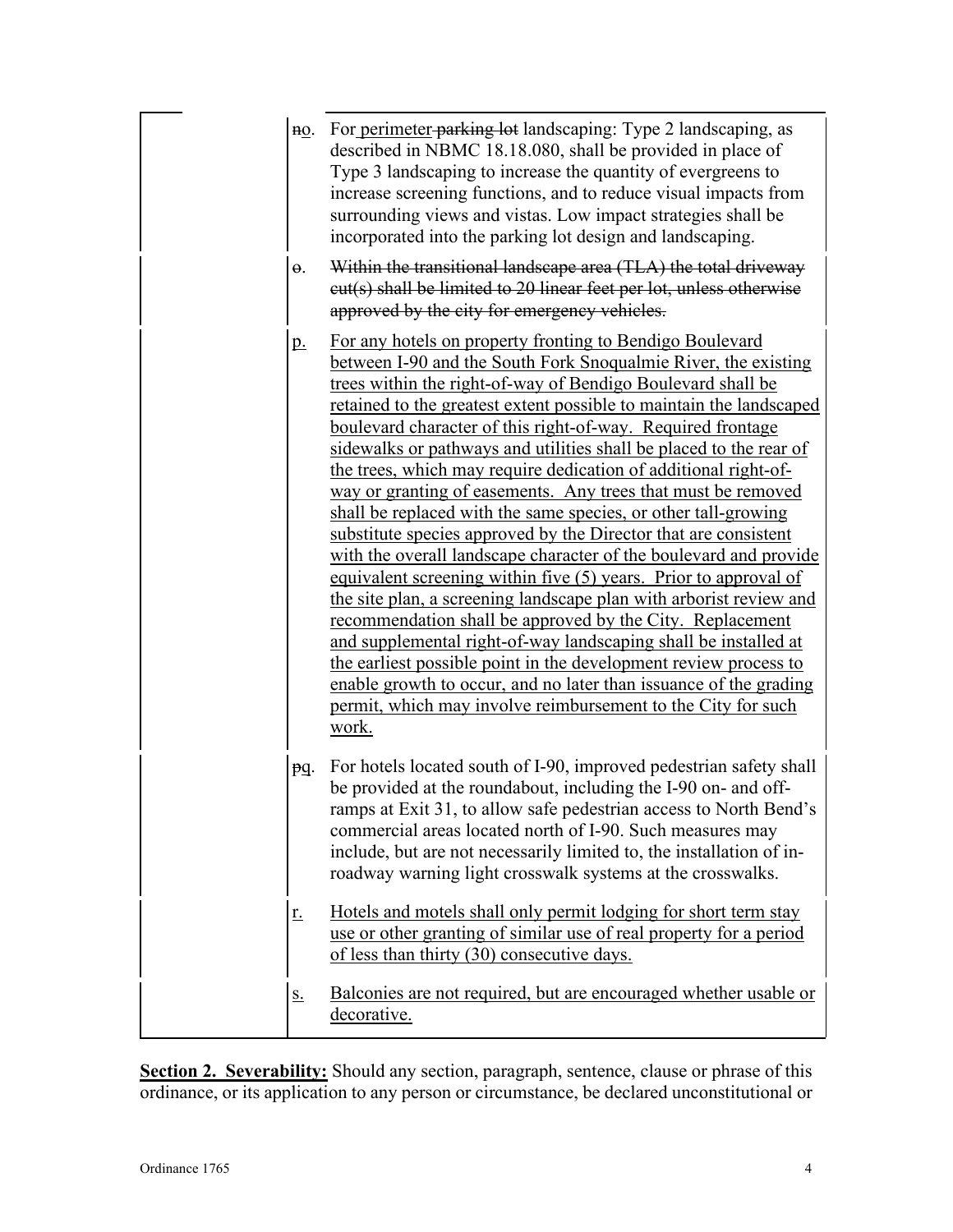| $nQ$ .     | For perimeter parking lot landscaping: Type 2 landscaping, as<br>described in NBMC 18.18.080, shall be provided in place of<br>Type 3 landscaping to increase the quantity of evergreens to<br>increase screening functions, and to reduce visual impacts from<br>surrounding views and vistas. Low impact strategies shall be<br>incorporated into the parking lot design and landscaping.                                                                                                                                                                                                                                                                                                                                                                                                                                                                                                                                                                                                                                                                                                                                                                                                                                                    |
|------------|------------------------------------------------------------------------------------------------------------------------------------------------------------------------------------------------------------------------------------------------------------------------------------------------------------------------------------------------------------------------------------------------------------------------------------------------------------------------------------------------------------------------------------------------------------------------------------------------------------------------------------------------------------------------------------------------------------------------------------------------------------------------------------------------------------------------------------------------------------------------------------------------------------------------------------------------------------------------------------------------------------------------------------------------------------------------------------------------------------------------------------------------------------------------------------------------------------------------------------------------|
| $\Theta$ . | Within the transitional landscape area (TLA) the total driveway<br>eut(s) shall be limited to 20 linear feet per lot, unless otherwise<br>approved by the city for emergency vehicles.                                                                                                                                                                                                                                                                                                                                                                                                                                                                                                                                                                                                                                                                                                                                                                                                                                                                                                                                                                                                                                                         |
| p.         | For any hotels on property fronting to Bendigo Boulevard<br>between I-90 and the South Fork Snoqualmie River, the existing<br>trees within the right-of-way of Bendigo Boulevard shall be<br>retained to the greatest extent possible to maintain the landscaped<br>boulevard character of this right-of-way. Required frontage<br>sidewalks or pathways and utilities shall be placed to the rear of<br>the trees, which may require dedication of additional right-of-<br>way or granting of easements. Any trees that must be removed<br>shall be replaced with the same species, or other tall-growing<br>substitute species approved by the Director that are consistent<br>with the overall landscape character of the boulevard and provide<br>equivalent screening within five (5) years. Prior to approval of<br>the site plan, a screening landscape plan with arborist review and<br>recommendation shall be approved by the City. Replacement<br>and supplemental right-of-way landscaping shall be installed at<br>the earliest possible point in the development review process to<br>enable growth to occur, and no later than issuance of the grading<br>permit, which may involve reimbursement to the City for such<br>work. |
| pq.        | For hotels located south of I-90, improved pedestrian safety shall<br>be provided at the roundabout, including the I-90 on- and off-<br>ramps at Exit 31, to allow safe pedestrian access to North Bend's<br>commercial areas located north of I-90. Such measures may<br>include, but are not necessarily limited to, the installation of in-<br>roadway warning light crosswalk systems at the crosswalks.                                                                                                                                                                                                                                                                                                                                                                                                                                                                                                                                                                                                                                                                                                                                                                                                                                   |
| <u>r.</u>  | Hotels and motels shall only permit lodging for short term stay<br>use or other granting of similar use of real property for a period<br>of less than thirty (30) consecutive days.                                                                                                                                                                                                                                                                                                                                                                                                                                                                                                                                                                                                                                                                                                                                                                                                                                                                                                                                                                                                                                                            |
| S.         | Balconies are not required, but are encouraged whether usable or                                                                                                                                                                                                                                                                                                                                                                                                                                                                                                                                                                                                                                                                                                                                                                                                                                                                                                                                                                                                                                                                                                                                                                               |

**Section 2. Severability:** Should any section, paragraph, sentence, clause or phrase of this ordinance, or its application to any person or circumstance, be declared unconstitutional or

decorative.